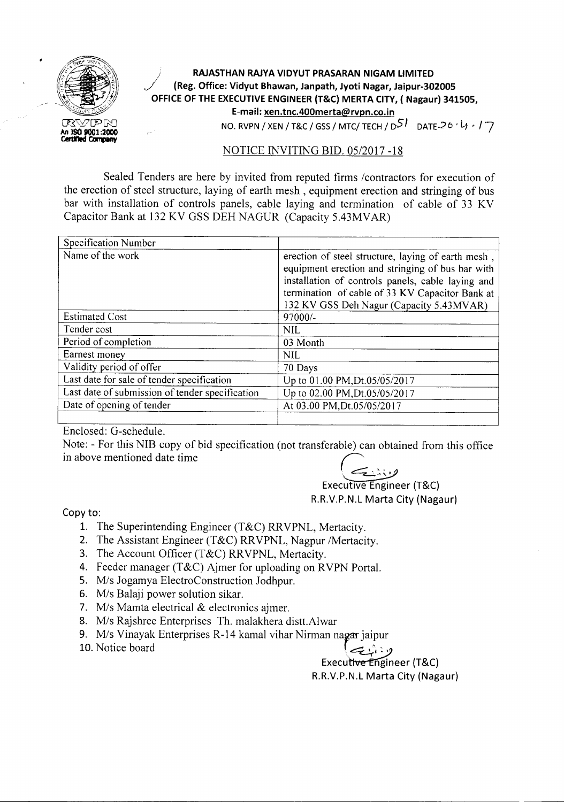

## **) RAJASTHAN RAJYA VIDYUT PRASARAN NIGAM LIMITED** *J* **(Reg. Office: Vidyut Bhawan, Janpath, Jyoti Nagar, Jaipur-302005 OFFICE OF THE EXECUTIVEENGINEER (T&C) MERTA CITY, ( Nagaur) 341505, E-mail: xen.tnc.400merta@rvpn.co.in** NO. RVPN / XEN / T&C / GSS / MTC/ TECH /  $D^{5}$  DATE-26  $\cdot$  U  $\cdot$  /  $\cdot$  /

## NOTICE INVITING BID. *05/2017 -18*

Sealed Tenders are here by invited from reputed firms /contractors for execution of the erection of steel structure, laying of earth mesh, equipment erection and stringing of bus bar with installation of controls panels, cable laying and termination of cable of 33 KV Capacitor Bank at 132 KV GSS DEH NAGUR (Capacity 5.43MVAR)

| Specification Number                            |                                                                                                                                                                                                                                                            |
|-------------------------------------------------|------------------------------------------------------------------------------------------------------------------------------------------------------------------------------------------------------------------------------------------------------------|
| Name of the work                                | erection of steel structure, laying of earth mesh,<br>equipment erection and stringing of bus bar with<br>installation of controls panels, cable laying and<br>termination of cable of 33 KV Capacitor Bank at<br>132 KV GSS Deh Nagur (Capacity 5.43MVAR) |
| <b>Estimated Cost</b>                           | 97000/-                                                                                                                                                                                                                                                    |
| Tender cost                                     | <b>NIL</b>                                                                                                                                                                                                                                                 |
| Period of completion                            | 03 Month                                                                                                                                                                                                                                                   |
| Earnest money                                   | <b>NIL</b>                                                                                                                                                                                                                                                 |
| Validity period of offer                        | 70 Days                                                                                                                                                                                                                                                    |
| Last date for sale of tender specification      | Up to 01.00 PM, Dt.05/05/2017                                                                                                                                                                                                                              |
| Last date of submission of tender specification | Up to 02.00 PM, Dt.05/05/2017                                                                                                                                                                                                                              |
| Date of opening of tender                       | At 03.00 PM, Dt.05/05/2017                                                                                                                                                                                                                                 |
|                                                 |                                                                                                                                                                                                                                                            |

Enclosed: G-schedule.

Note: - For this NIB copy of bid specification (not transferable) can obtained from this office Enclosed: G-schedule.<br>Note: - For this NIB copy of bid specification (not transferable) can obtain<br>in above mentioned date time

.~

Executive Engineer (T&C) R.R.V.P.N.L Marta City (Nagaur)

Copy to:

- l. The Superintending Engineer (T&C) RRVPNL, Mertacity.
- 2. The Assistant Engineer (T&C) RRVPNL, Nagpur /Mertacity.
- 3. The Account Officer (T&C) RRVPNL, Mertacity.
- 4. Feeder manager (T&C) Ajmer for uploading on RVPN Portal.
- *5. Mis* Jogamya ElectroConstruction Jodhpur.
- *6. Mis* Balaji power solution sikar.
- *7. Mis* Mamta electrical & electronics ajmer.
- *8. Mis* Rajshree Enterprises Th. malakhera distt.Alwar
- 9. M/s Vinayak Enterprises R-14 kamal vihar Nirman nagar jaipur
- 10. Notice board  $\left\{\sum_{i=1}^{n} x_i\right\}$

Executive Engineer (T&C) R.R.V.P.N.L Marta City (Nagaur)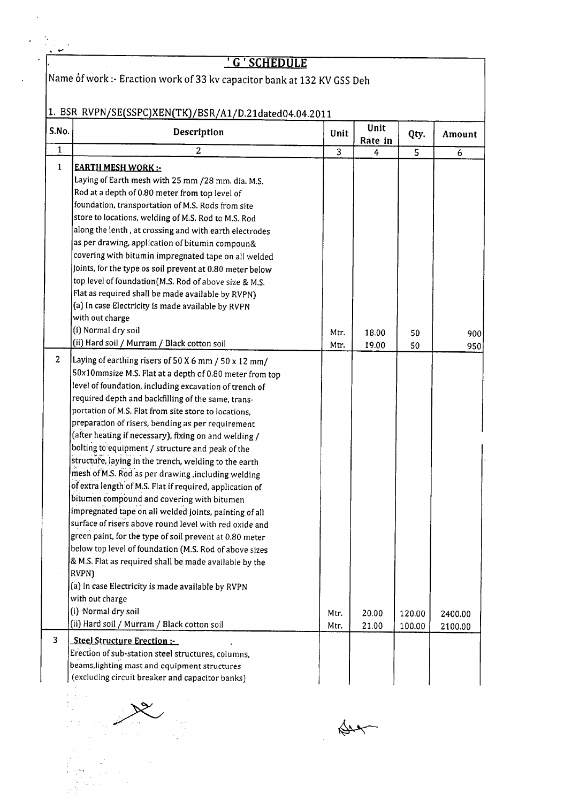I G I **SCHEDULE**

 $\big|$ Name óf work :- Eraction work of 33 kv capacitor bank at 132 KV GSS Deh

## 1. BSR RVPN/SE(SSPC)XEN(TK)/BSR/A1/D.21dated04.04.2011

| S.No.        | Description                                                                                                                                                                                                                                                                                                                                                                                                                                                                                                                                                                                                                                                                                                                                                                                                                                                                                                                                                                                                                                                                                                                                  | Unit           | Unit<br>Rate in | Qty.             | Amount             |
|--------------|----------------------------------------------------------------------------------------------------------------------------------------------------------------------------------------------------------------------------------------------------------------------------------------------------------------------------------------------------------------------------------------------------------------------------------------------------------------------------------------------------------------------------------------------------------------------------------------------------------------------------------------------------------------------------------------------------------------------------------------------------------------------------------------------------------------------------------------------------------------------------------------------------------------------------------------------------------------------------------------------------------------------------------------------------------------------------------------------------------------------------------------------|----------------|-----------------|------------------|--------------------|
| $\mathbf{1}$ | 2                                                                                                                                                                                                                                                                                                                                                                                                                                                                                                                                                                                                                                                                                                                                                                                                                                                                                                                                                                                                                                                                                                                                            | $\overline{3}$ | $\overline{4}$  | $\overline{5}$   | 6                  |
| $\mathbf{1}$ | <b>EARTH MESH WORK:</b><br>Laying of Earth mesh with 25 mm /28 mm. dia. M.S.<br>Rod at a depth of 0.80 meter from top level of<br>foundation, transportation of M.S. Rods from site<br>store to locations, welding of M.S. Rod to M.S. Rod<br>along the lenth, at crossing and with earth electrodes<br>as per drawing, application of bitumin compoun&<br>covering with bitumin impregnated tape on all welded<br>joints, for the type os soil prevent at 0.80 meter below<br>top level of foundation (M.S. Rod of above size & M.S.<br>Flat as required shall be made available by RVPN)<br>(a) In case Electricity is made available by RVPN<br>with out charge<br>(i) Normal dry soil                                                                                                                                                                                                                                                                                                                                                                                                                                                    | Mtr.           | 18.00           | 50               | 900                |
|              | (ii) Hard soil / Murram / Black cotton soil                                                                                                                                                                                                                                                                                                                                                                                                                                                                                                                                                                                                                                                                                                                                                                                                                                                                                                                                                                                                                                                                                                  | Mtr.           | 19.00           | 50               | 950                |
| 2            | Laying of earthing risers of 50 X 6 mm / 50 x 12 mm/<br>50x10mmsize M.S. Flat at a depth of 0.80 meter from top<br>level of foundation, including excavation of trench of<br>required depth and backfilling of the same, trans-<br>portation of M.S. Flat from site store to locations,<br>preparation of risers, bending as per requirement<br>(after heating if necessary), fixing on and welding /<br>bolting to equipment / structure and peak of the<br>structure, laying in the trench, welding to the earth<br>mesh of M.S. Rod as per drawing, including welding<br>of extra length of M.S. Flat if required, application of<br>bitumen compound and covering with bitumen<br>impregnated tape on all welded joints, painting of all<br>surface of risers above round level with red oxide and<br>green paint, for the type of soil prevent at 0.80 meter<br>below top level of foundation (M.S. Rod of above sizes<br>& M.S. Flat as required shall be made available by the<br>RVPN)<br>(a) In case Electricity is made available by RVPN<br>with out charge<br>(i) Normal dry soil<br>(ii) Hard soil / Murram / Black cotton soil | Mtr.<br>Mtr.   | 20.00<br>21.00  | 120.00<br>100.00 | 2400.00<br>2100.00 |
| 3            | Steel Structure Erection:-<br>Erection of sub-station steel structures, columns,<br>beams, lighting mast and equipment structures<br>(excluding circuit breaker and capacitor banks)                                                                                                                                                                                                                                                                                                                                                                                                                                                                                                                                                                                                                                                                                                                                                                                                                                                                                                                                                         |                |                 |                  |                    |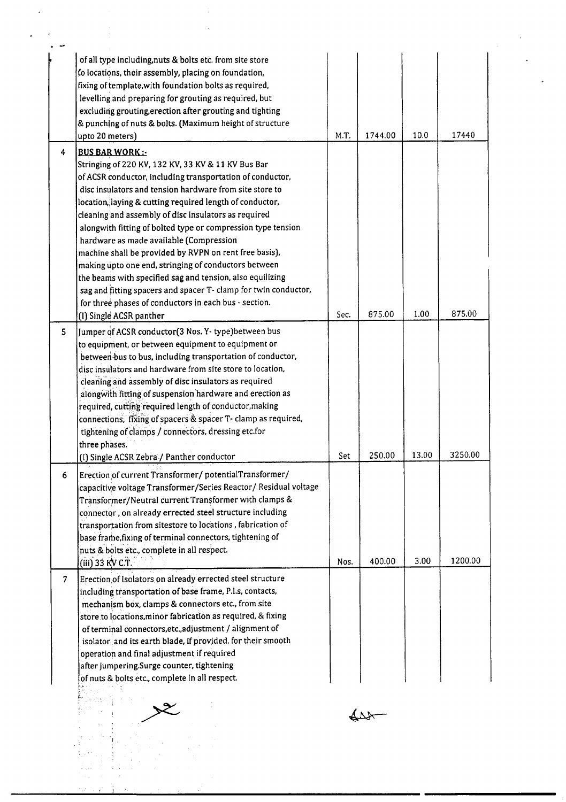|                | of all type including, nuts & bolts etc. from site store        |      |         |       |         |
|----------------|-----------------------------------------------------------------|------|---------|-------|---------|
|                | to locations, their assembly, placing on foundation,            |      |         |       |         |
|                | fixing of template, with foundation bolts as required,          |      |         |       |         |
|                | levelling and preparing for grouting as required, but           |      |         |       |         |
|                | excluding grouting, erection after grouting and tighting        |      |         |       |         |
|                | & punching of nuts & bolts. (Maximum height of structure        |      |         |       |         |
|                | upto 20 meters)                                                 | M.T. | 1744.00 | 10.0  | 17440   |
| 4              | <b>BUS BAR WORK:</b>                                            |      |         |       |         |
|                | Stringing of 220 KV, 132 KV, 33 KV & 11 KV Bus Bar              |      |         |       |         |
|                | of ACSR conductor, including transportation of conductor,       |      |         |       |         |
|                | disc insulators and tension hardware from site store to         |      |         |       |         |
|                | location, laying & cutting required length of conductor,        |      |         |       |         |
|                | cleaning and assembly of disc insulators as required            |      |         |       |         |
|                | alongwith fitting of bolted type or compression type tension    |      |         |       |         |
|                | hardware as made available (Compression                         |      |         |       |         |
|                | machine shall be provided by RVPN on rent free basis),          |      |         |       |         |
|                | making upto one end, stringing of conductors between            |      |         |       |         |
|                | the beams with specified sag and tension, also equilizing       |      |         |       |         |
|                | sag and fitting spacers and spacer T- clamp for twin conductor, |      |         |       |         |
|                | for three phases of conductors in each bus - section.           |      |         |       |         |
|                | (I) Single ACSR panther                                         | Sec. | 875.00  | 1.00  | 875.00  |
| 5              | Jumper of ACSR conductor(3 Nos. Y-type) between bus             |      |         |       |         |
|                | to equipment, or between equipment to equipment or              |      |         |       |         |
|                | between bus to bus, including transportation of conductor,      |      |         |       |         |
|                | disc insulators and hardware from site store to location,       |      |         |       |         |
|                | cleaning and assembly of disc insulators as required            |      |         |       |         |
|                | alongwith fitting of suspension hardware and erection as        |      |         |       |         |
|                | required, cutting required length of conductor, making          |      |         |       |         |
|                | connections, fixing of spacers & spacer T- clamp as required,   |      |         |       |         |
|                | tightening of clamps / connectors, dressing etc.for             |      |         |       |         |
|                | three phases.                                                   |      |         |       |         |
|                | (I) Single ACSR Zebra / Panther conductor                       | Set  | 250.00  | 13.00 | 3250.00 |
|                |                                                                 |      |         |       |         |
| 6              | Erection of current Transformer/potentialTransformer/           |      |         |       |         |
|                | capacitive voltage Transformer/Series Reactor/ Residual voltage |      |         |       |         |
|                | Transformer/Neutral current Transformer with clamps &           |      |         |       |         |
|                | connector, on already errected steel structure including        |      |         |       |         |
|                | transportation from sitestore to locations, fabrication of      |      |         |       |         |
|                | base frame, fixing of terminal connectors, tightening of        |      |         |       |         |
|                | nuts & bolts etc., complete in all respect.                     |      |         |       |         |
|                | (iii) 33 KV C.T.                                                | Nos. | 400.00  | 3.00  | 1200.00 |
| $\overline{7}$ | Erection of Isolators on already errected steel structure       |      |         |       |         |
|                | including transportation of base frame, P.I.s, contacts,        |      |         |       |         |
|                | mechanism box, clamps & connectors etc., from site              |      |         |       |         |
|                | store to locations, minor fabrication as required, & fixing     |      |         |       |         |
|                | of terminal connectors, etc., adjustment / alignment of         |      |         |       |         |
|                | isolator and its earth blade, if provided, for their smooth     |      |         |       |         |
|                | operation and final adjustment if required                      |      |         |       |         |
|                | after jumpering.Surge counter, tightening                       |      |         |       |         |
|                | of nuts & bolts etc., complete in all respect.                  |      |         |       |         |
|                |                                                                 |      |         |       |         |
|                |                                                                 |      |         |       |         |
|                |                                                                 |      |         |       |         |
|                |                                                                 |      |         |       |         |
|                |                                                                 |      |         |       |         |
|                |                                                                 |      |         |       |         |
|                |                                                                 |      |         |       |         |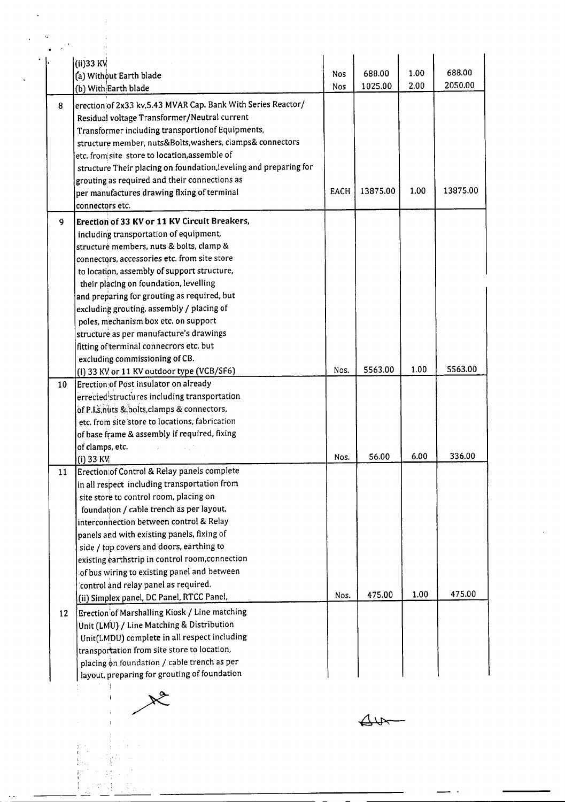|    | (ii)33 KV                                                                   |             | 688.00   | 1.00 | 688.00   |
|----|-----------------------------------------------------------------------------|-------------|----------|------|----------|
|    | (a) Without Earth blade                                                     | Nos         | 1025.00  | 2.00 | 2050.00  |
|    | (b) With Earth blade                                                        | Nos         |          |      |          |
| 8  | erection of 2x33 kv, 5.43 MVAR Cap. Bank With Series Reactor/               |             |          |      |          |
|    | Residual voltage Transformer/Neutral current                                |             |          |      |          |
|    | Transformer including transportion of Equipments,                           |             |          |      |          |
|    | structure member, nuts&Bolts, washers, clamps& connectors                   |             |          |      |          |
|    | etc. from site store to location, assemble of                               |             |          |      |          |
|    | structure Their placing on foundation, leveling and preparing for           |             |          |      |          |
|    | grouting as required and their connections as                               |             |          |      | 13875.00 |
|    | per manufactures drawing flxing of terminal                                 | <b>EACH</b> | 13875.00 | 1.00 |          |
|    | connectors etc.                                                             |             |          |      |          |
| 9  | Erection of 33 KV or 11 KV Circuit Breakers,                                |             |          |      |          |
|    | including transportation of equipment,                                      |             |          |      |          |
|    | structuré members, nuts & bolts, clamp &                                    |             |          |      |          |
|    | connectors, accessories etc. from site store                                |             |          |      |          |
|    | to location, assembly of support structure,                                 |             |          |      |          |
|    | their placing on foundation, levelling                                      |             |          |      |          |
|    | and preparing for grouting as required, but                                 |             |          |      |          |
|    | excluding grouting, assembly / placing of                                   |             |          |      |          |
|    | poles, mechanism box etc. on support                                        |             |          |      |          |
|    | structure as per manufacture's drawings                                     |             |          |      |          |
|    | fitting of terminal connecrors etc. but                                     |             |          |      |          |
|    | excluding commissioning of CB.<br>(I) 33 KV or 11 KV outdoor type (VCB/SF6) | Nos.        | 5563.00  | 1.00 | 5563.00  |
| 10 | Erection of Post insulator on already                                       |             |          |      |          |
|    | errected structures including transportation                                |             |          |      |          |
|    | of P.I.s.nuts & bolts, clamps & connectors,                                 |             |          |      |          |
|    | etc. from site store to locations, fabrication                              |             |          |      |          |
|    | of base frame & assembly if required, fixing                                |             |          |      |          |
|    | of clamps, etc.                                                             |             |          |      |          |
|    | $(i)$ 33 KV                                                                 | Nos.        | 56.00    | 6.00 | 336.00   |
| 11 | Erection of Control & Relay panels complete                                 |             |          |      |          |
|    | in all respect including transportation from                                |             |          |      |          |
|    | site store to control room, placing on                                      |             |          |      |          |
|    | foundation / cable trench as per layout,                                    |             |          |      |          |
|    | interconnection between control & Relay                                     |             |          |      |          |
|    | panels and with existing panels, fixing of                                  |             |          |      |          |
|    | side / top covers and doors, earthing to                                    |             |          |      |          |
|    | existing earthstrip in control room, connection                             |             |          |      |          |
|    | of bus wiring to existing panel and between                                 |             |          |      |          |
|    | control and relay panel as required.                                        |             |          |      |          |
|    | (ii) Simplex panel, DC Panel, RTCC Panel,                                   | Nos.        | 475.00   | 1.00 | 475.00   |
| 12 | Erection of Marshalling Kiosk / Line matching                               |             |          |      |          |
|    | Unit (LMU) / Line Matching & Distribution                                   |             |          |      |          |
|    | Unit(LMDU) complete in all respect including                                |             |          |      |          |
|    | transportation from site store to location,                                 |             |          |      |          |
|    | placing on foundation / cable trench as per                                 |             |          |      |          |
|    | layout, preparing for grouting of foundation                                |             |          |      |          |

 $44$ 

 $x^2$ 

 $\ddot{\phantom{0}}$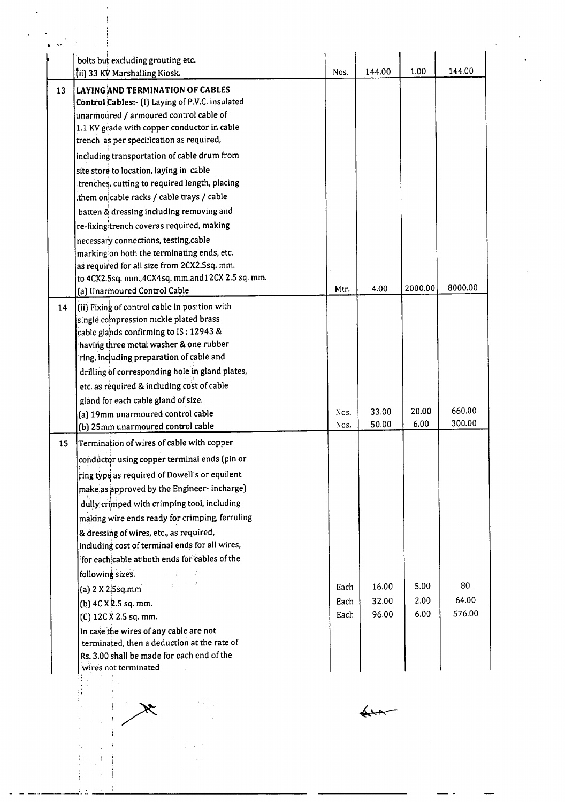|    | bolts but excluding grouting etc.<br>(ii) 33 KV Marshalling Kiosk. | Nos.         | 144.00         | 1.00    | 144.00  |
|----|--------------------------------------------------------------------|--------------|----------------|---------|---------|
| 13 | <b>LAYING AND TERMINATION OF CABLES</b>                            |              |                |         |         |
|    | Control Cables:- (I) Laying of P.V.C. insulated                    |              |                |         |         |
|    | unarmoured / armoured control cable of                             |              |                |         |         |
|    | 1.1 KV grade with copper conductor in cable                        |              |                |         |         |
|    | trench as per specification as required,                           |              |                |         |         |
|    | including transportation of cable drum from                        |              |                |         |         |
|    | site store to location, laying in cable                            |              |                |         |         |
|    | trenches, cutting to required length, placing                      |              |                |         |         |
|    | them on cable racks / cable trays / cable.                         |              |                |         |         |
|    | batten & dressing including removing and                           |              |                |         |         |
|    | re-fixing trench coveras required, making                          |              |                |         |         |
|    | necessary connections, testing, cable                              |              |                |         |         |
|    | marking on both the terminating ends, etc.                         |              |                |         |         |
|    | as required for all size from 2CX2.5sq. mm.                        |              |                |         |         |
|    | to 4CX2.5sq. mm., 4CX4sq. mm.and12CX 2.5 sq. mm.                   |              |                | 2000.00 | 8000.00 |
|    | (a) Unarmoured Control Cable                                       | Mtr.         | 4.00           |         |         |
| 14 | (ii) Fixing of control cable in position with                      |              |                |         |         |
|    | single compression nickle plated brass                             |              |                |         |         |
|    | cable glands confirming to IS: 12943 &                             |              |                |         |         |
|    | having three metal washer & one rubber                             |              |                |         |         |
|    | ring, including preparation of cable and                           |              |                |         |         |
|    | drilling of corresponding hole in gland plates,                    |              |                |         |         |
|    | etc. as required & including cost of cable                         |              |                |         |         |
|    | gland for each cable gland of size.                                |              |                | 20.00   | 660.00  |
|    | (a) 19mm unarmoured control cable                                  | Nos.<br>Nos. | 33.00<br>50.00 | 6.00    | 300.00  |
|    | (b) 25mm unarmoured control cable                                  |              |                |         |         |
| 15 | Termination of wires of cable with copper                          |              |                |         |         |
|    | conductor using copper terminal ends (pin or                       |              |                |         |         |
|    | ring type as required of Dowell's or equilent                      |              |                |         |         |
|    | make as approved by the Engineer-incharge)                         |              |                |         |         |
|    | dully crimped with crimping tool, including                        |              |                |         |         |
|    | making wire ends ready for crimping, ferruling                     |              |                |         |         |
|    | & dressing of wires, etc., as required,                            |              |                |         |         |
|    | including cost of terminal ends for all wires,                     |              |                |         |         |
|    | for each cable at both ends for cables of the                      |              |                |         |         |
|    | following sizes.                                                   |              |                |         |         |
|    | (a) $2 \times 2.5$ sq.mm                                           | Each         | 16.00          | 5.00    | 80      |
|    | (b) 4C X 2.5 sq. mm.                                               | Each         | 32.00          | 2.00    | 64.00   |
|    | (C) 12C X 2.5 sq. mm.                                              | Each         | 96.00          | 6.00    | 576.00  |
|    | In case the wires of any cable are not                             |              |                |         |         |
|    | terminated, then a deduction at the rate of                        |              |                |         |         |
|    | Rs. 3.00 shall be made for each end of the                         |              |                |         |         |
|    | wires not terminated                                               |              |                |         |         |
|    |                                                                    |              |                |         |         |
|    |                                                                    |              |                |         |         |
|    |                                                                    |              |                |         |         |
|    |                                                                    |              |                |         |         |
|    |                                                                    |              |                |         |         |
|    | 社 一夫                                                               |              |                |         |         |
|    |                                                                    |              |                |         |         |